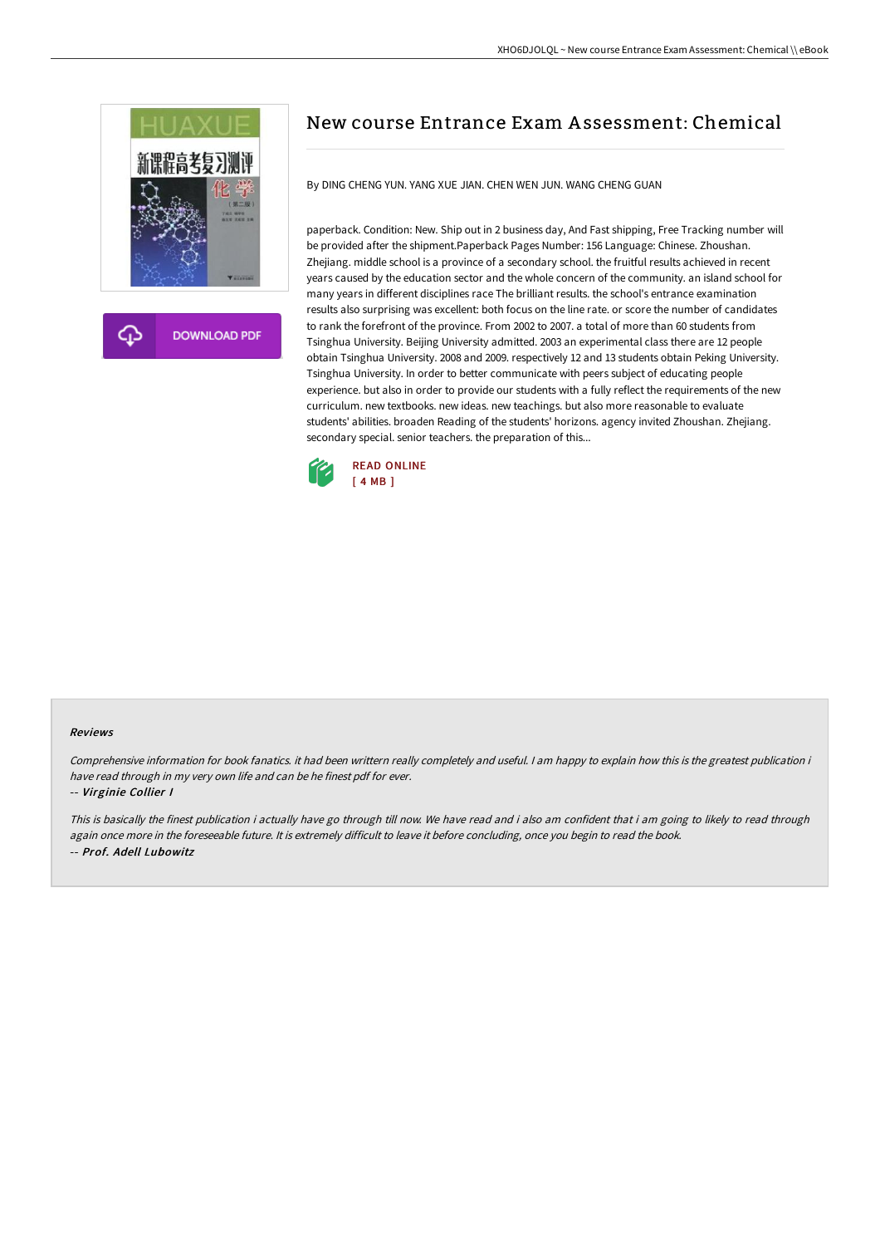

**DOWNLOAD PDF** 

# New course Entrance Exam A ssessment: Chemical

By DING CHENG YUN. YANG XUE JIAN. CHEN WEN JUN. WANG CHENG GUAN

paperback. Condition: New. Ship out in 2 business day, And Fast shipping, Free Tracking number will be provided after the shipment.Paperback Pages Number: 156 Language: Chinese. Zhoushan. Zhejiang. middle school is a province of a secondary school. the fruitful results achieved in recent years caused by the education sector and the whole concern of the community. an island school for many years in different disciplines race The brilliant results. the school's entrance examination results also surprising was excellent: both focus on the line rate. or score the number of candidates to rank the forefront of the province. From 2002 to 2007. a total of more than 60 students from Tsinghua University. Beijing University admitted. 2003 an experimental class there are 12 people obtain Tsinghua University. 2008 and 2009. respectively 12 and 13 students obtain Peking University. Tsinghua University. In order to better communicate with peers subject of educating people experience. but also in order to provide our students with a fully reflect the requirements of the new curriculum. new textbooks. new ideas. new teachings. but also more reasonable to evaluate students' abilities. broaden Reading of the students' horizons. agency invited Zhoushan. Zhejiang. secondary special. senior teachers. the preparation of this...



#### Reviews

Comprehensive information for book fanatics. it had been writtern really completely and useful. <sup>I</sup> am happy to explain how this is the greatest publication i have read through in my very own life and can be he finest pdf for ever.

-- Virginie Collier I

This is basically the finest publication i actually have go through till now. We have read and i also am confident that i am going to likely to read through again once more in the foreseeable future. It is extremely difficult to leave it before concluding, once you begin to read the book. -- Prof. Adell Lubowitz